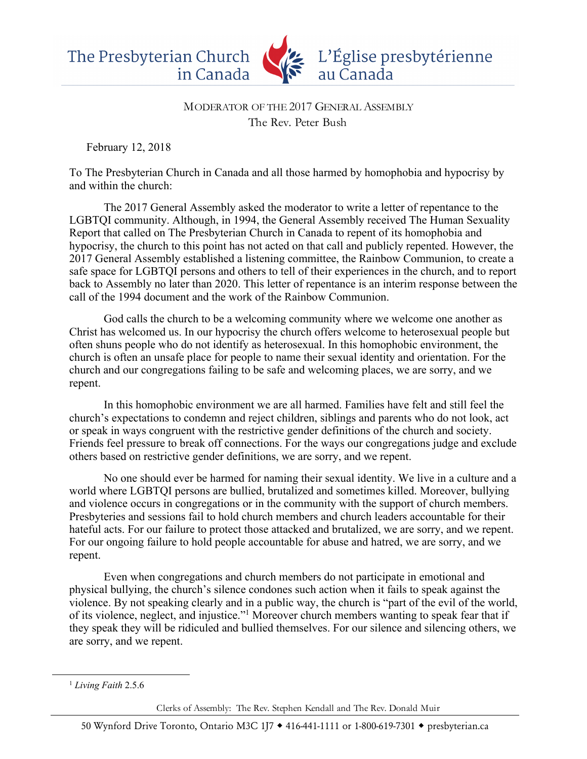

## MODERATOR OF THE 2017 GENERAL ASSEMBLY The Rev. Peter Bush

February 12, 2018

To The Presbyterian Church in Canada and all those harmed by homophobia and hypocrisy by and within the church:

The 2017 General Assembly asked the moderator to write a letter of repentance to the LGBTQI community. Although, in 1994, the General Assembly received The Human Sexuality Report that called on The Presbyterian Church in Canada to repent of its homophobia and hypocrisy, the church to this point has not acted on that call and publicly repented. However, the 2017 General Assembly established a listening committee, the Rainbow Communion, to create a safe space for LGBTQI persons and others to tell of their experiences in the church, and to report back to Assembly no later than 2020. This letter of repentance is an interim response between the call of the 1994 document and the work of the Rainbow Communion.

God calls the church to be a welcoming community where we welcome one another as Christ has welcomed us. In our hypocrisy the church offers welcome to heterosexual people but often shuns people who do not identify as heterosexual. In this homophobic environment, the church is often an unsafe place for people to name their sexual identity and orientation. For the church and our congregations failing to be safe and welcoming places, we are sorry, and we repent.

In this homophobic environment we are all harmed. Families have felt and still feel the church's expectations to condemn and reject children, siblings and parents who do not look, act or speak in ways congruent with the restrictive gender definitions of the church and society. Friends feel pressure to break off connections. For the ways our congregations judge and exclude others based on restrictive gender definitions, we are sorry, and we repent.

No one should ever be harmed for naming their sexual identity. We live in a culture and a world where LGBTQI persons are bullied, brutalized and sometimes killed. Moreover, bullying and violence occurs in congregations or in the community with the support of church members. Presbyteries and sessions fail to hold church members and church leaders accountable for their hateful acts. For our failure to protect those attacked and brutalized, we are sorry, and we repent. For our ongoing failure to hold people accountable for abuse and hatred, we are sorry, and we repent.

Even when congregations and church members do not participate in emotional and physical bullying, the church's silence condones such action when it fails to speak against the violence. By not speaking clearly and in a public way, the church is "part of the evil of the world, of its violence, neglect, and injustice."1 Moreover church members wanting to speak fear that if they speak they will be ridiculed and bullied themselves. For our silence and silencing others, we are sorry, and we repent.

 

Clerks of Assembly: The Rev. Stephen Kendall and The Rev. Donald Muir

<sup>1</sup> *Living Faith* 2.5.6